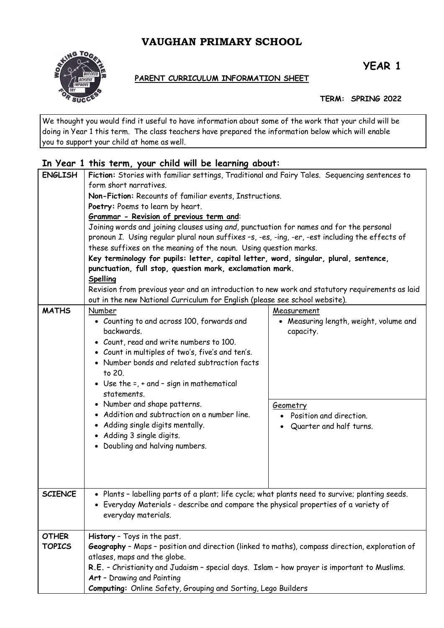# **VAUGHAN PRIMARY SCHOOL**



**YEAR 1**

#### **PARENT CURRICULUM INFORMATION SHEET**

**TERM: SPRING 2022**

We thought you would find it useful to have information about some of the work that your child will be doing in Year 1 this term. The class teachers have prepared the information below which will enable you to support your child at home as well.

## **In Year 1 this term, your child will be learning about:**

| <b>ENGLISH</b> | Fiction: Stories with familiar settings, Traditional and Fairy Tales. Sequencing sentences to                                                                                                                                                                                                                                                                                                                                                                                                                                                                                                                                                                                                          |                                        |  |
|----------------|--------------------------------------------------------------------------------------------------------------------------------------------------------------------------------------------------------------------------------------------------------------------------------------------------------------------------------------------------------------------------------------------------------------------------------------------------------------------------------------------------------------------------------------------------------------------------------------------------------------------------------------------------------------------------------------------------------|----------------------------------------|--|
|                | form short narratives.<br>Non-Fiction: Recounts of familiar events, Instructions.<br>Poetry: Poems to learn by heart.<br>Grammar - Revision of previous term and:<br>Joining words and joining clauses using and, punctuation for names and for the personal<br>pronoun I. Using regular plural noun suffixes -s, -es, -ing, -er, -est including the effects of<br>these suffixes on the meaning of the noun. Using question marks.<br>Key terminology for pupils: letter, capital letter, word, singular, plural, sentence,<br>punctuation, full stop, question mark, exclamation mark.<br>Spelling<br>Revision from previous year and an introduction to new work and statutory requirements as laid |                                        |  |
|                |                                                                                                                                                                                                                                                                                                                                                                                                                                                                                                                                                                                                                                                                                                        |                                        |  |
|                |                                                                                                                                                                                                                                                                                                                                                                                                                                                                                                                                                                                                                                                                                                        |                                        |  |
|                |                                                                                                                                                                                                                                                                                                                                                                                                                                                                                                                                                                                                                                                                                                        |                                        |  |
|                |                                                                                                                                                                                                                                                                                                                                                                                                                                                                                                                                                                                                                                                                                                        |                                        |  |
|                |                                                                                                                                                                                                                                                                                                                                                                                                                                                                                                                                                                                                                                                                                                        |                                        |  |
|                |                                                                                                                                                                                                                                                                                                                                                                                                                                                                                                                                                                                                                                                                                                        |                                        |  |
|                |                                                                                                                                                                                                                                                                                                                                                                                                                                                                                                                                                                                                                                                                                                        |                                        |  |
|                |                                                                                                                                                                                                                                                                                                                                                                                                                                                                                                                                                                                                                                                                                                        |                                        |  |
|                |                                                                                                                                                                                                                                                                                                                                                                                                                                                                                                                                                                                                                                                                                                        |                                        |  |
|                |                                                                                                                                                                                                                                                                                                                                                                                                                                                                                                                                                                                                                                                                                                        |                                        |  |
|                | out in the new National Curriculum for English (please see school website).                                                                                                                                                                                                                                                                                                                                                                                                                                                                                                                                                                                                                            |                                        |  |
| <b>MATHS</b>   | Number                                                                                                                                                                                                                                                                                                                                                                                                                                                                                                                                                                                                                                                                                                 | Measurement                            |  |
|                | • Counting to and across 100, forwards and                                                                                                                                                                                                                                                                                                                                                                                                                                                                                                                                                                                                                                                             | • Measuring length, weight, volume and |  |
|                | backwards.                                                                                                                                                                                                                                                                                                                                                                                                                                                                                                                                                                                                                                                                                             | capacity.                              |  |
|                | • Count, read and write numbers to 100.                                                                                                                                                                                                                                                                                                                                                                                                                                                                                                                                                                                                                                                                |                                        |  |
|                | • Count in multiples of two's, five's and ten's.                                                                                                                                                                                                                                                                                                                                                                                                                                                                                                                                                                                                                                                       |                                        |  |
|                | • Number bonds and related subtraction facts                                                                                                                                                                                                                                                                                                                                                                                                                                                                                                                                                                                                                                                           |                                        |  |
|                | to 20.                                                                                                                                                                                                                                                                                                                                                                                                                                                                                                                                                                                                                                                                                                 |                                        |  |
|                | • Use the $=$ , $+$ and $-$ sign in mathematical                                                                                                                                                                                                                                                                                                                                                                                                                                                                                                                                                                                                                                                       |                                        |  |
|                | statements.                                                                                                                                                                                                                                                                                                                                                                                                                                                                                                                                                                                                                                                                                            |                                        |  |
|                | • Number and shape patterns.                                                                                                                                                                                                                                                                                                                                                                                                                                                                                                                                                                                                                                                                           | Geometry                               |  |
|                | • Addition and subtraction on a number line.                                                                                                                                                                                                                                                                                                                                                                                                                                                                                                                                                                                                                                                           | Position and direction.                |  |
|                | • Adding single digits mentally.                                                                                                                                                                                                                                                                                                                                                                                                                                                                                                                                                                                                                                                                       | Quarter and half turns.                |  |
|                | • Adding 3 single digits.                                                                                                                                                                                                                                                                                                                                                                                                                                                                                                                                                                                                                                                                              |                                        |  |
|                | • Doubling and halving numbers.                                                                                                                                                                                                                                                                                                                                                                                                                                                                                                                                                                                                                                                                        |                                        |  |
|                |                                                                                                                                                                                                                                                                                                                                                                                                                                                                                                                                                                                                                                                                                                        |                                        |  |
|                |                                                                                                                                                                                                                                                                                                                                                                                                                                                                                                                                                                                                                                                                                                        |                                        |  |
|                |                                                                                                                                                                                                                                                                                                                                                                                                                                                                                                                                                                                                                                                                                                        |                                        |  |
| <b>SCIENCE</b> |                                                                                                                                                                                                                                                                                                                                                                                                                                                                                                                                                                                                                                                                                                        |                                        |  |
|                | • Plants - labelling parts of a plant; life cycle; what plants need to survive; planting seeds.<br>• Everyday Materials - describe and compare the physical properties of a variety of<br>everyday materials.                                                                                                                                                                                                                                                                                                                                                                                                                                                                                          |                                        |  |
|                |                                                                                                                                                                                                                                                                                                                                                                                                                                                                                                                                                                                                                                                                                                        |                                        |  |
|                |                                                                                                                                                                                                                                                                                                                                                                                                                                                                                                                                                                                                                                                                                                        |                                        |  |
| <b>OTHER</b>   | History - Toys in the past.                                                                                                                                                                                                                                                                                                                                                                                                                                                                                                                                                                                                                                                                            |                                        |  |
| <b>TOPICS</b>  | Geography - Maps - position and direction (linked to maths), compass direction, exploration of<br>atlases, maps and the globe.                                                                                                                                                                                                                                                                                                                                                                                                                                                                                                                                                                         |                                        |  |
|                |                                                                                                                                                                                                                                                                                                                                                                                                                                                                                                                                                                                                                                                                                                        |                                        |  |
|                | R.E. - Christianity and Judaism - special days. Islam - how prayer is important to Muslims.                                                                                                                                                                                                                                                                                                                                                                                                                                                                                                                                                                                                            |                                        |  |
|                | Art - Drawing and Painting                                                                                                                                                                                                                                                                                                                                                                                                                                                                                                                                                                                                                                                                             |                                        |  |
|                | Computing: Online Safety, Grouping and Sorting, Lego Builders                                                                                                                                                                                                                                                                                                                                                                                                                                                                                                                                                                                                                                          |                                        |  |